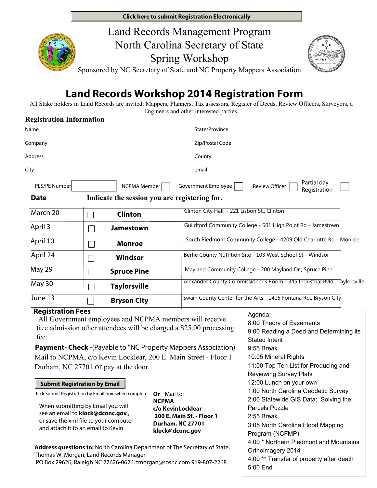**Click here to submit Registration Electronically**





Sponsored by NC Secretary of State and NC Property Mappers Association

# **Land Records Workshop 2014 Registration Form**

All Stake holders in Land Records are invited: Mappers, Planners, Tax assessors, Register of Deeds, Review Officers, Surveyors, a Engineers and other interested parties.

### **Registration Information**

| Name                     |                                               | State/Province                                                            |  |
|--------------------------|-----------------------------------------------|---------------------------------------------------------------------------|--|
| Company                  |                                               | Zip/Postal Code                                                           |  |
| <b>Address</b>           |                                               | County                                                                    |  |
| City                     |                                               | email                                                                     |  |
| PLS/PE Number            | NCPMA Member                                  | Partial day<br>Government Employee<br>Review Officer<br>Registration      |  |
| <b>Date</b>              | Indicate the session you are registering for. |                                                                           |  |
| March 20                 | <b>Clinton</b>                                | Clinton City Hall, - 221 Lisbon St., Clinton                              |  |
| April 3                  | <b>Jamestown</b>                              | Guildford Community College - 601 High Point Rd - Jamestown               |  |
| April 10                 | <b>Monroe</b>                                 | South Piedmont Community College - 4209 Old Charlotte Rd - Monroe         |  |
| April 24                 | Windsor                                       | Bertie County Nutrition Site - 103 West School St - Windsor               |  |
| May 29                   | <b>Spruce Pine</b>                            | Mayland Community College - 200 Mayland Dr., Spruce Pine                  |  |
| May 30                   | <b>Taylorsville</b>                           | Alexander County Commissioner's Room - 345 Industrial Bvld., Taylorsville |  |
| June 13                  | <b>Bryson City</b>                            | Swain County Center for the Arts - 1415 Fontana Rd., Bryson City          |  |
| <b>Registration Fees</b> |                                               | Agenda:                                                                   |  |

 All Government employees and NCPMA members will receive free admission other attendees will be charged a \$25.00 processing fee.

**Payment- Check** -(Payable to "NC Property Mappers Association) Mail to NCPMA, c/o Kevin Locklear, 200 E. Main Street - Floor 1 Durham, NC 27701 or pay at the door.

#### **Submit Registration by Email**

Pick Submit Registration by Email box when complete **Or** Mail to:

When submitting by Email you will see an email to **klock@dconc.gov** , or save the xml file to your computer and attach it to an email to Kevin.

**NCPMA c/o KevinLocklear 200 E. Main St. - Floor 1 Durham, NC 27701 klock@dconc.gov**

**Address questions to:** North Carolina Department of The Secretary of State, Thomas W. Morgan, Land Records Manager PO Box 29626, Raleigh NC 27626-0626, tmorgan@sosnc.com 919-807-2268

Agenda: 8:00 Theory of Easements 9:00 Reading a Deed and Determining its Stated Intent 9:55 Break 10:05 Mineral Rights 11:00 Top Ten List for Producing and Reviewing Survey Plats 12:00 Lunch on your own 1:00 North Carolina Geodetic Survey 2:00 Statewide GIS Data: Solving the Parcels Puzzle 2:55 Break 3:05 North Carolina Flood Mapping Program (NCFMP) 4:00 \* Northern Piedmont and Mountains Orthoimagery 2014 4:00 \*\* Transfer of property after death 5:00 End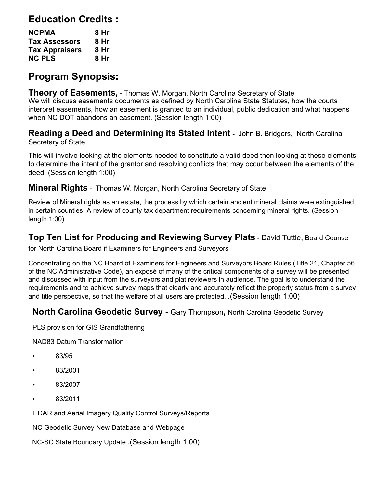# **Education Credits :**

| <b>NCPMA</b>          | 8 Hr |
|-----------------------|------|
| <b>Tax Assessors</b>  | 8 Hr |
| <b>Tax Appraisers</b> | 8 Hr |
| <b>NC PLS</b>         | 8 Hr |

# **Program Synopsis:**

 **Theory of Easements, -** Thomas W. Morgan, North Carolina Secretary of State We will discuss easements documents as defined by North Carolina State Statutes, how the courts interpret easements, how an easement is granted to an individual, public dedication and what happens when NC DOT abandons an easement. (Session length 1:00)

**Reading a Deed and Determining its Stated Intent -** John B. Bridgers, North Carolina Secretary of State

This will involve looking at the elements needed to constitute a valid deed then looking at these elements to determine the intent of the grantor and resolving conflicts that may occur between the elements of the deed. (Session length 1:00)

**Mineral Rights** - Thomas W. Morgan, North Carolina Secretary of State

Review of Mineral rights as an estate, the process by which certain ancient mineral claims were extinguished in certain counties. A review of county tax department requirements concerning mineral rights. (Session length 1:00)

**Top Ten List for Producing and Reviewing Survey Plats** - David Tuttle, Board Counsel for North Carolina Board if Examiners for Engineers and Surveyors

Concentrating on the NC Board of Examiners for Engineers and Surveyors Board Rules (Title 21, Chapter 56 of the NC Administrative Code), an exposé of many of the critical components of a survey will be presented and discussed with input from the surveyors and plat reviewers in audience. The goal is to understand the requirements and to achieve survey maps that clearly and accurately reflect the property status from a survey and title perspective, so that the welfare of all users are protected. .(Session length 1:00)

## **North Carolina Geodetic Survey -** Gary Thompson**,** North Carolina Geodetic Survey

PLS provision for GIS Grandfathering

NAD83 Datum Transformation

- 83/95
- 83/2001
- 83/2007
- 83/2011

LiDAR and Aerial Imagery Quality Control Surveys/Reports

NC Geodetic Survey New Database and Webpage

NC-SC State Boundary Update .(Session length 1:00)